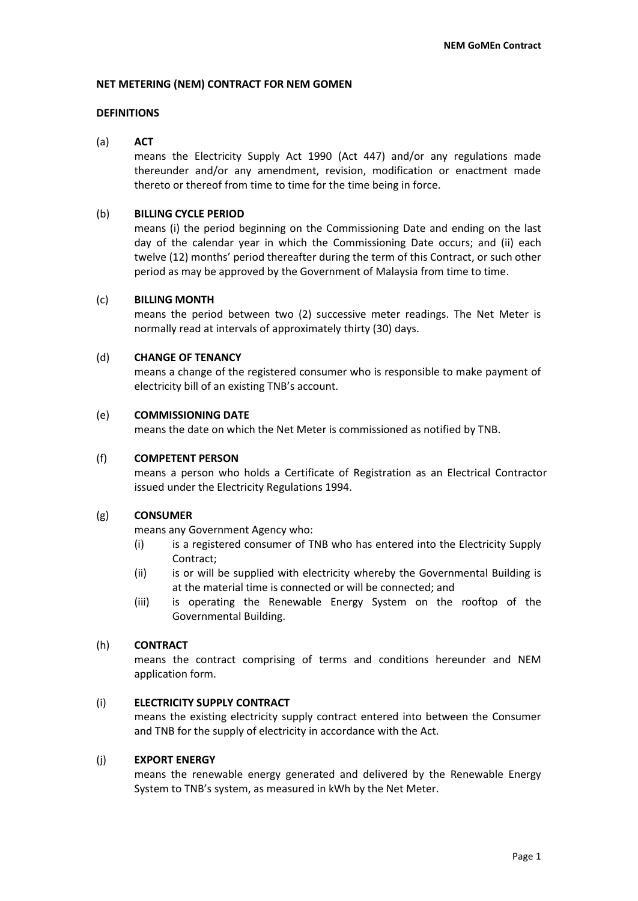#### **NET METERING (NEM) CONTRACT FOR NEM GOMEN**

# **DEFINITIONS**

#### (a) **ACT**

means the Electricity Supply Act 1990 (Act 447) and/or any regulations made thereunder and/or any amendment, revision, modification or enactment made thereto or thereof from time to time for the time being in force.

#### (b) **BILLING CYCLE PERIOD**

means (i) the period beginning on the Commissioning Date and ending on the last day of the calendar year in which the Commissioning Date occurs; and (ii) each twelve (12) months' period thereafter during the term of this Contract, or such other period as may be approved by the Government of Malaysia from time to time.

#### (c) **BILLING MONTH**

means the period between two (2) successive meter readings. The Net Meter is normally read at intervals of approximately thirty (30) days.

#### (d) **CHANGE OF TENANCY**

means a change of the registered consumer who is responsible to make payment of electricity bill of an existing TNB's account.

#### (e) **COMMISSIONING DATE**

means the date on which the Net Meter is commissioned as notified by TNB.

#### (f) **COMPETENT PERSON**

means a person who holds a Certificate of Registration as an Electrical Contractor issued under the Electricity Regulations 1994.

#### (g) **CONSUMER**

means any Government Agency who:

- (i) is a registered consumer of TNB who has entered into the Electricity Supply Contract;
- (ii) is or will be supplied with electricity whereby the Governmental Building is at the material time is connected or will be connected; and
- (iii) is operating the Renewable Energy System on the rooftop of the Governmental Building.

# (h) **CONTRACT**

means the contract comprising of terms and conditions hereunder and NEM application form.

# (i) **ELECTRICITY SUPPLY CONTRACT**

means the existing electricity supply contract entered into between the Consumer and TNB for the supply of electricity in accordance with the Act.

# (j) **EXPORT ENERGY**

means the renewable energy generated and delivered by the Renewable Energy System to TNB's system, as measured in kWh by the Net Meter.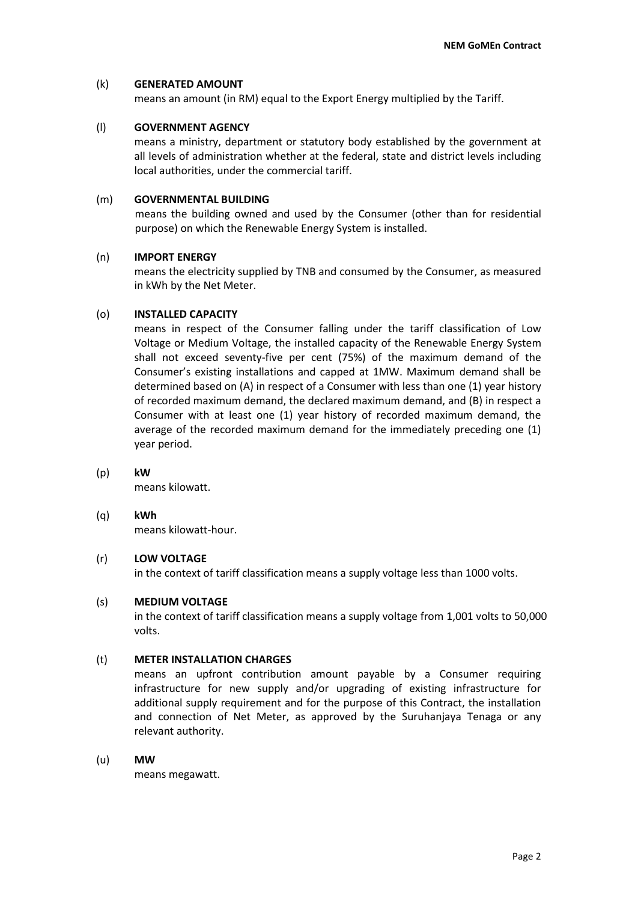# (k) **GENERATED AMOUNT**

means an amount (in RM) equal to the Export Energy multiplied by the Tariff.

# (l) **GOVERNMENT AGENCY**

means a ministry, department or statutory body established by the government at all levels of administration whether at the federal, state and district levels including local authorities, under the commercial tariff.

# (m) **GOVERNMENTAL BUILDING**

means the building owned and used by the Consumer (other than for residential purpose) on which the Renewable Energy System is installed.

# (n) **IMPORT ENERGY**

means the electricity supplied by TNB and consumed by the Consumer, as measured in kWh by the Net Meter.

# (o) **INSTALLED CAPACITY**

means in respect of the Consumer falling under the tariff classification of Low Voltage or Medium Voltage, the installed capacity of the Renewable Energy System shall not exceed seventy-five per cent (75%) of the maximum demand of the Consumer's existing installations and capped at 1MW. Maximum demand shall be determined based on (A) in respect of a Consumer with less than one (1) year history of recorded maximum demand, the declared maximum demand, and (B) in respect a Consumer with at least one (1) year history of recorded maximum demand, the average of the recorded maximum demand for the immediately preceding one (1) year period.

# (p) **kW**

means kilowatt.

# (q) **kWh**

means kilowatt-hour.

# (r) **LOW VOLTAGE**

in the context of tariff classification means a supply voltage less than 1000 volts.

# (s) **MEDIUM VOLTAGE**

in the context of tariff classification means a supply voltage from 1,001 volts to 50,000 volts.

# (t) **METER INSTALLATION CHARGES**

means an upfront contribution amount payable by a Consumer requiring infrastructure for new supply and/or upgrading of existing infrastructure for additional supply requirement and for the purpose of this Contract, the installation and connection of Net Meter, as approved by the Suruhanjaya Tenaga or any relevant authority.

# (u) **MW**

means megawatt.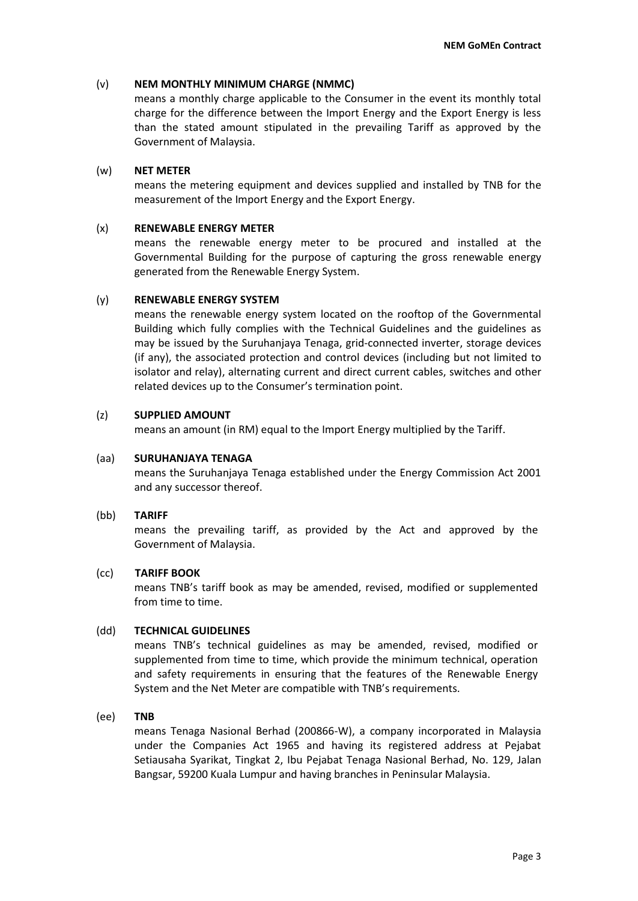# (v) **NEM MONTHLY MINIMUM CHARGE (NMMC)**

means a monthly charge applicable to the Consumer in the event its monthly total charge for the difference between the Import Energy and the Export Energy is less than the stated amount stipulated in the prevailing Tariff as approved by the Government of Malaysia.

# (w) **NET METER**

means the metering equipment and devices supplied and installed by TNB for the measurement of the Import Energy and the Export Energy.

# (x) **RENEWABLE ENERGY METER**

means the renewable energy meter to be procured and installed at the Governmental Building for the purpose of capturing the gross renewable energy generated from the Renewable Energy System.

# (y) **RENEWABLE ENERGY SYSTEM**

means the renewable energy system located on the rooftop of the Governmental Building which fully complies with the Technical Guidelines and the guidelines as may be issued by the Suruhanjaya Tenaga, grid-connected inverter, storage devices (if any), the associated protection and control devices (including but not limited to isolator and relay), alternating current and direct current cables, switches and other related devices up to the Consumer's termination point.

# (z) **SUPPLIED AMOUNT**

means an amount (in RM) equal to the Import Energy multiplied by the Tariff.

# (aa) **SURUHANJAYA TENAGA**

means the Suruhanjaya Tenaga established under the Energy Commission Act 2001 and any successor thereof.

# (bb) **TARIFF**

means the prevailing tariff, as provided by the Act and approved by the Government of Malaysia.

# (cc) **TARIFF BOOK**

means TNB's tariff book as may be amended, revised, modified or supplemented from time to time.

# (dd) **TECHNICAL GUIDELINES**

means TNB's technical guidelines as may be amended, revised, modified or supplemented from time to time, which provide the minimum technical, operation and safety requirements in ensuring that the features of the Renewable Energy System and the Net Meter are compatible with TNB's requirements.

# (ee) **TNB**

means Tenaga Nasional Berhad (200866-W), a company incorporated in Malaysia under the Companies Act 1965 and having its registered address at Pejabat Setiausaha Syarikat, Tingkat 2, Ibu Pejabat Tenaga Nasional Berhad, No. 129, Jalan Bangsar, 59200 Kuala Lumpur and having branches in Peninsular Malaysia.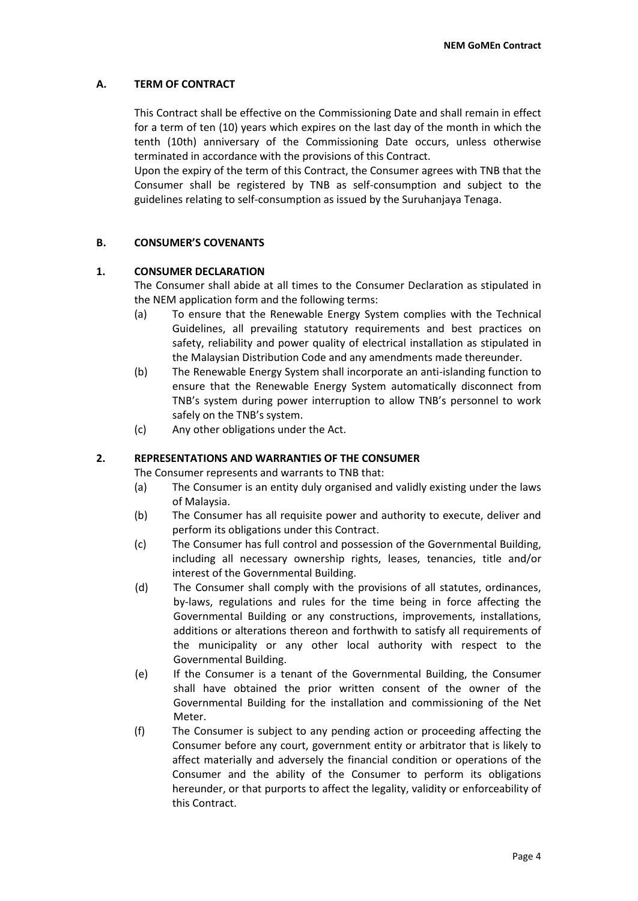# **A. TERM OF CONTRACT**

This Contract shall be effective on the Commissioning Date and shall remain in effect for a term of ten (10) years which expires on the last day of the month in which the tenth (10th) anniversary of the Commissioning Date occurs, unless otherwise terminated in accordance with the provisions of this Contract.

Upon the expiry of the term of this Contract, the Consumer agrees with TNB that the Consumer shall be registered by TNB as self-consumption and subject to the guidelines relating to self-consumption as issued by the Suruhanjaya Tenaga.

# **B. CONSUMER'S COVENANTS**

# **1. CONSUMER DECLARATION**

The Consumer shall abide at all times to the Consumer Declaration as stipulated in the NEM application form and the following terms:

- (a) To ensure that the Renewable Energy System complies with the Technical Guidelines, all prevailing statutory requirements and best practices on safety, reliability and power quality of electrical installation as stipulated in the Malaysian Distribution Code and any amendments made thereunder.
- (b) The Renewable Energy System shall incorporate an anti-islanding function to ensure that the Renewable Energy System automatically disconnect from TNB's system during power interruption to allow TNB's personnel to work safely on the TNB's system.
- (c) Any other obligations under the Act.

# **2. REPRESENTATIONS AND WARRANTIES OF THE CONSUMER**

The Consumer represents and warrants to TNB that:

- (a) The Consumer is an entity duly organised and validly existing under the laws of Malaysia.
- (b) The Consumer has all requisite power and authority to execute, deliver and perform its obligations under this Contract.
- (c) The Consumer has full control and possession of the Governmental Building, including all necessary ownership rights, leases, tenancies, title and/or interest of the Governmental Building.
- (d) The Consumer shall comply with the provisions of all statutes, ordinances, by-laws, regulations and rules for the time being in force affecting the Governmental Building or any constructions, improvements, installations, additions or alterations thereon and forthwith to satisfy all requirements of the municipality or any other local authority with respect to the Governmental Building.
- (e) If the Consumer is a tenant of the Governmental Building, the Consumer shall have obtained the prior written consent of the owner of the Governmental Building for the installation and commissioning of the Net Meter.
- (f) The Consumer is subject to any pending action or proceeding affecting the Consumer before any court, government entity or arbitrator that is likely to affect materially and adversely the financial condition or operations of the Consumer and the ability of the Consumer to perform its obligations hereunder, or that purports to affect the legality, validity or enforceability of this Contract.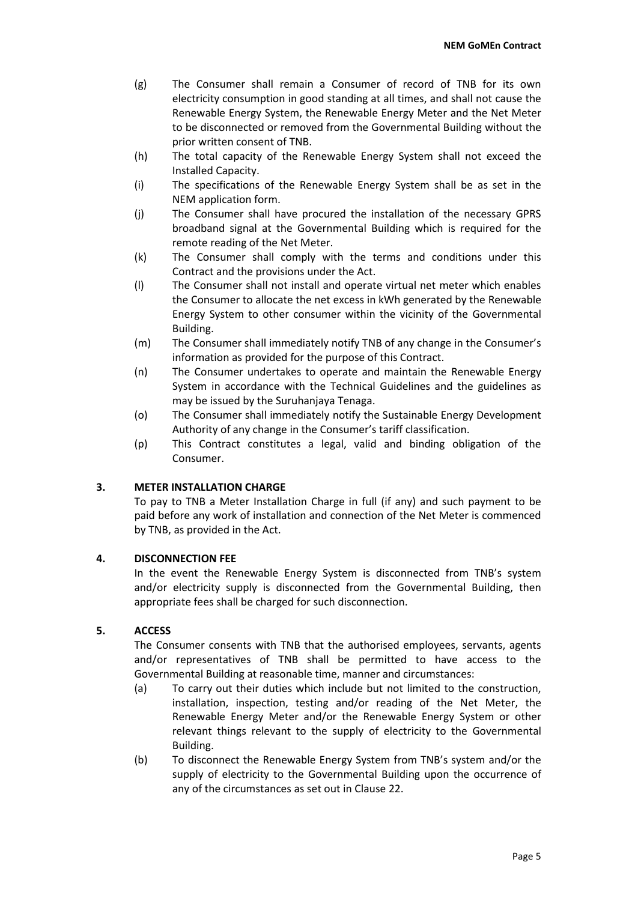- (g) The Consumer shall remain a Consumer of record of TNB for its own electricity consumption in good standing at all times, and shall not cause the Renewable Energy System, the Renewable Energy Meter and the Net Meter to be disconnected or removed from the Governmental Building without the prior written consent of TNB.
- (h) The total capacity of the Renewable Energy System shall not exceed the Installed Capacity.
- (i) The specifications of the Renewable Energy System shall be as set in the NEM application form.
- (j) The Consumer shall have procured the installation of the necessary GPRS broadband signal at the Governmental Building which is required for the remote reading of the Net Meter.
- (k) The Consumer shall comply with the terms and conditions under this Contract and the provisions under the Act.
- (l) The Consumer shall not install and operate virtual net meter which enables the Consumer to allocate the net excess in kWh generated by the Renewable Energy System to other consumer within the vicinity of the Governmental Building.
- (m) The Consumer shall immediately notify TNB of any change in the Consumer's information as provided for the purpose of this Contract.
- (n) The Consumer undertakes to operate and maintain the Renewable Energy System in accordance with the Technical Guidelines and the guidelines as may be issued by the Suruhanjaya Tenaga.
- (o) The Consumer shall immediately notify the Sustainable Energy Development Authority of any change in the Consumer's tariff classification.
- (p) This Contract constitutes a legal, valid and binding obligation of the Consumer.

# **3. METER INSTALLATION CHARGE**

To pay to TNB a Meter Installation Charge in full (if any) and such payment to be paid before any work of installation and connection of the Net Meter is commenced by TNB, as provided in the Act.

# **4. DISCONNECTION FEE**

In the event the Renewable Energy System is disconnected from TNB's system and/or electricity supply is disconnected from the Governmental Building, then appropriate fees shall be charged for such disconnection.

# **5. ACCESS**

The Consumer consents with TNB that the authorised employees, servants, agents and/or representatives of TNB shall be permitted to have access to the Governmental Building at reasonable time, manner and circumstances:

- (a) To carry out their duties which include but not limited to the construction, installation, inspection, testing and/or reading of the Net Meter, the Renewable Energy Meter and/or the Renewable Energy System or other relevant things relevant to the supply of electricity to the Governmental Building.
- (b) To disconnect the Renewable Energy System from TNB's system and/or the supply of electricity to the Governmental Building upon the occurrence of any of the circumstances as set out in Clause 22.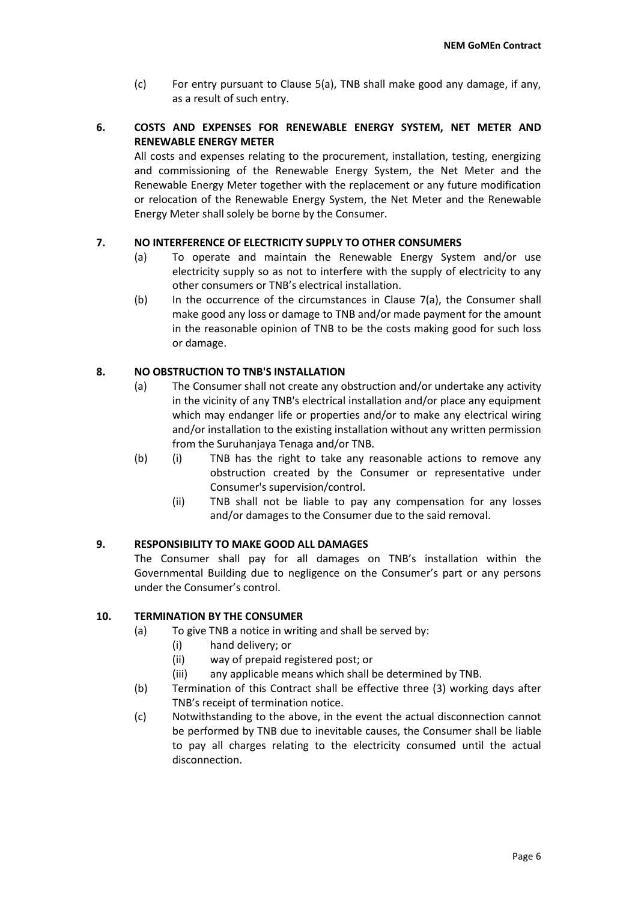(c) For entry pursuant to Clause 5(a), TNB shall make good any damage, if any, as a result of such entry.

# **6. COSTS AND EXPENSES FOR RENEWABLE ENERGY SYSTEM, NET METER AND RENEWABLE ENERGY METER**

All costs and expenses relating to the procurement, installation, testing, energizing and commissioning of the Renewable Energy System, the Net Meter and the Renewable Energy Meter together with the replacement or any future modification or relocation of the Renewable Energy System, the Net Meter and the Renewable Energy Meter shall solely be borne by the Consumer.

# **7. NO INTERFERENCE OF ELECTRICITY SUPPLY TO OTHER CONSUMERS**

- (a) To operate and maintain the Renewable Energy System and/or use electricity supply so as not to interfere with the supply of electricity to any other consumers or TNB's electrical installation.
- (b) In the occurrence of the circumstances in Clause 7(a), the Consumer shall make good any loss or damage to TNB and/or made payment for the amount in the reasonable opinion of TNB to be the costs making good for such loss or damage.

# **8. NO OBSTRUCTION TO TNB'S INSTALLATION**

- (a) The Consumer shall not create any obstruction and/or undertake any activity in the vicinity of any TNB's electrical installation and/or place any equipment which may endanger life or properties and/or to make any electrical wiring and/or installation to the existing installation without any written permission from the Suruhanjaya Tenaga and/or TNB.
- (b) (i) TNB has the right to take any reasonable actions to remove any obstruction created by the Consumer or representative under Consumer's supervision/control.
	- (ii) TNB shall not be liable to pay any compensation for any losses and/or damages to the Consumer due to the said removal.

# **9. RESPONSIBILITY TO MAKE GOOD ALL DAMAGES**

The Consumer shall pay for all damages on TNB's installation within the Governmental Building due to negligence on the Consumer's part or any persons under the Consumer's control.

# **10. TERMINATION BY THE CONSUMER**

- (a) To give TNB a notice in writing and shall be served by:
	- (i) hand delivery; or
	- (ii) way of prepaid registered post; or
	- (iii) any applicable means which shall be determined by TNB.
- (b) Termination of this Contract shall be effective three (3) working days after TNB's receipt of termination notice.
- (c) Notwithstanding to the above, in the event the actual disconnection cannot be performed by TNB due to inevitable causes, the Consumer shall be liable to pay all charges relating to the electricity consumed until the actual disconnection.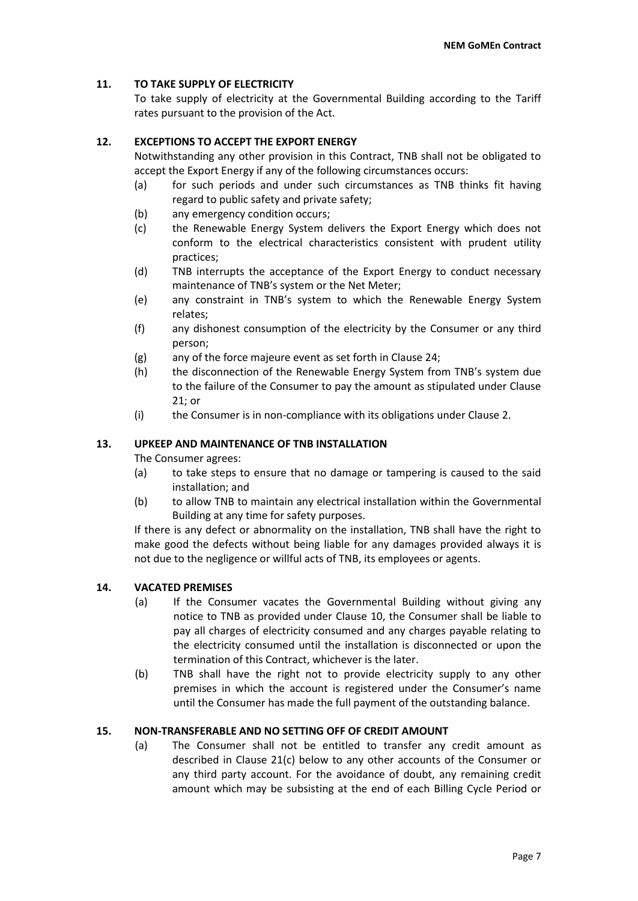# **11. TO TAKE SUPPLY OF ELECTRICITY**

To take supply of electricity at the Governmental Building according to the Tariff rates pursuant to the provision of the Act.

# **12. EXCEPTIONS TO ACCEPT THE EXPORT ENERGY**

Notwithstanding any other provision in this Contract, TNB shall not be obligated to accept the Export Energy if any of the following circumstances occurs:

- (a) for such periods and under such circumstances as TNB thinks fit having regard to public safety and private safety;
- (b) any emergency condition occurs;
- (c) the Renewable Energy System delivers the Export Energy which does not conform to the electrical characteristics consistent with prudent utility practices;
- (d) TNB interrupts the acceptance of the Export Energy to conduct necessary maintenance of TNB's system or the Net Meter;
- (e) any constraint in TNB's system to which the Renewable Energy System relates;
- (f) any dishonest consumption of the electricity by the Consumer or any third person;
- (g) any of the force majeure event as set forth in Clause 24;
- (h) the disconnection of the Renewable Energy System from TNB's system due to the failure of the Consumer to pay the amount as stipulated under Clause 21; or
- (i) the Consumer is in non-compliance with its obligations under Clause 2.

# **13. UPKEEP AND MAINTENANCE OF TNB INSTALLATION**

The Consumer agrees:

- (a) to take steps to ensure that no damage or tampering is caused to the said installation; and
- (b) to allow TNB to maintain any electrical installation within the Governmental Building at any time for safety purposes.

If there is any defect or abnormality on the installation, TNB shall have the right to make good the defects without being liable for any damages provided always it is not due to the negligence or willful acts of TNB, its employees or agents.

# **14. VACATED PREMISES**

- (a) If the Consumer vacates the Governmental Building without giving any notice to TNB as provided under Clause 10, the Consumer shall be liable to pay all charges of electricity consumed and any charges payable relating to the electricity consumed until the installation is disconnected or upon the termination of this Contract, whichever is the later.
- (b) TNB shall have the right not to provide electricity supply to any other premises in which the account is registered under the Consumer's name until the Consumer has made the full payment of the outstanding balance.

# **15. NON-TRANSFERABLE AND NO SETTING OFF OF CREDIT AMOUNT**

(a) The Consumer shall not be entitled to transfer any credit amount as described in Clause 21(c) below to any other accounts of the Consumer or any third party account. For the avoidance of doubt, any remaining credit amount which may be subsisting at the end of each Billing Cycle Period or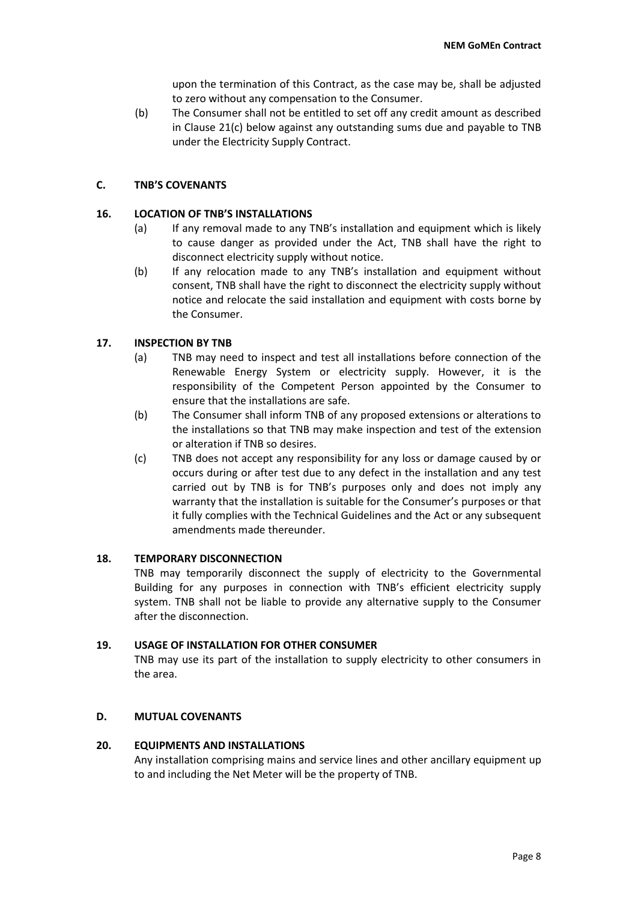upon the termination of this Contract, as the case may be, shall be adjusted to zero without any compensation to the Consumer.

(b) The Consumer shall not be entitled to set off any credit amount as described in Clause 21(c) below against any outstanding sums due and payable to TNB under the Electricity Supply Contract.

# **C. TNB'S COVENANTS**

# **16. LOCATION OF TNB'S INSTALLATIONS**

- (a) If any removal made to any TNB's installation and equipment which is likely to cause danger as provided under the Act, TNB shall have the right to disconnect electricity supply without notice.
- (b) If any relocation made to any TNB's installation and equipment without consent, TNB shall have the right to disconnect the electricity supply without notice and relocate the said installation and equipment with costs borne by the Consumer.

# **17. INSPECTION BY TNB**

- (a) TNB may need to inspect and test all installations before connection of the Renewable Energy System or electricity supply. However, it is the responsibility of the Competent Person appointed by the Consumer to ensure that the installations are safe.
- (b) The Consumer shall inform TNB of any proposed extensions or alterations to the installations so that TNB may make inspection and test of the extension or alteration if TNB so desires.
- (c) TNB does not accept any responsibility for any loss or damage caused by or occurs during or after test due to any defect in the installation and any test carried out by TNB is for TNB's purposes only and does not imply any warranty that the installation is suitable for the Consumer's purposes or that it fully complies with the Technical Guidelines and the Act or any subsequent amendments made thereunder.

# **18. TEMPORARY DISCONNECTION**

TNB may temporarily disconnect the supply of electricity to the Governmental Building for any purposes in connection with TNB's efficient electricity supply system. TNB shall not be liable to provide any alternative supply to the Consumer after the disconnection.

# **19. USAGE OF INSTALLATION FOR OTHER CONSUMER**

TNB may use its part of the installation to supply electricity to other consumers in the area.

# **D. MUTUAL COVENANTS**

# **20. EQUIPMENTS AND INSTALLATIONS**

Any installation comprising mains and service lines and other ancillary equipment up to and including the Net Meter will be the property of TNB.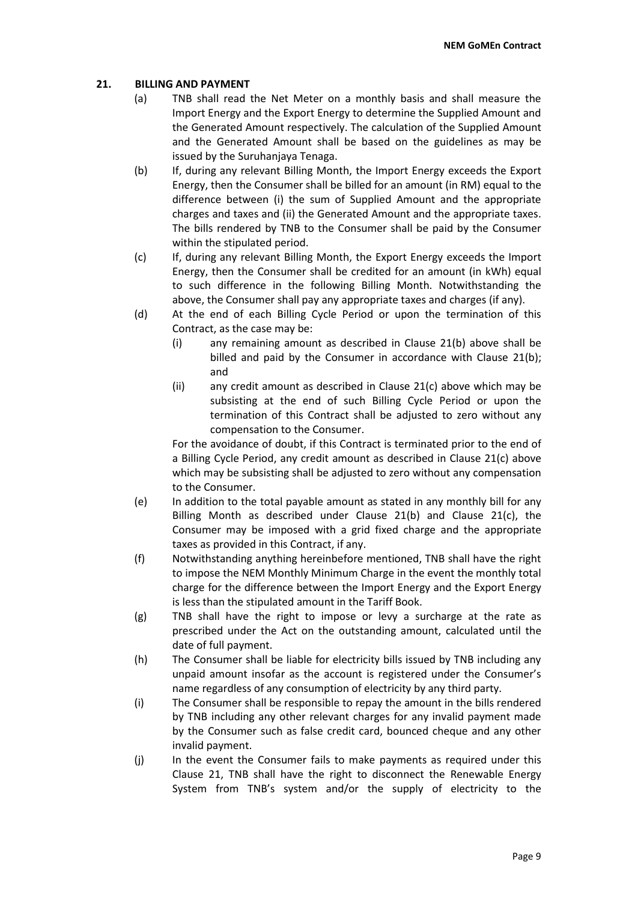# **21. BILLING AND PAYMENT**

- (a) TNB shall read the Net Meter on a monthly basis and shall measure the Import Energy and the Export Energy to determine the Supplied Amount and the Generated Amount respectively. The calculation of the Supplied Amount and the Generated Amount shall be based on the guidelines as may be issued by the Suruhanjaya Tenaga.
- (b) If, during any relevant Billing Month, the Import Energy exceeds the Export Energy, then the Consumer shall be billed for an amount (in RM) equal to the difference between (i) the sum of Supplied Amount and the appropriate charges and taxes and (ii) the Generated Amount and the appropriate taxes. The bills rendered by TNB to the Consumer shall be paid by the Consumer within the stipulated period.
- (c) If, during any relevant Billing Month, the Export Energy exceeds the Import Energy, then the Consumer shall be credited for an amount (in kWh) equal to such difference in the following Billing Month. Notwithstanding the above, the Consumer shall pay any appropriate taxes and charges (if any).
- (d) At the end of each Billing Cycle Period or upon the termination of this Contract, as the case may be:
	- (i) any remaining amount as described in Clause 21(b) above shall be billed and paid by the Consumer in accordance with Clause 21(b); and
	- (ii) any credit amount as described in Clause 21(c) above which may be subsisting at the end of such Billing Cycle Period or upon the termination of this Contract shall be adjusted to zero without any compensation to the Consumer.

For the avoidance of doubt, if this Contract is terminated prior to the end of a Billing Cycle Period, any credit amount as described in Clause 21(c) above which may be subsisting shall be adjusted to zero without any compensation to the Consumer.

- (e) In addition to the total payable amount as stated in any monthly bill for any Billing Month as described under Clause 21(b) and Clause 21(c), the Consumer may be imposed with a grid fixed charge and the appropriate taxes as provided in this Contract, if any.
- (f) Notwithstanding anything hereinbefore mentioned, TNB shall have the right to impose the NEM Monthly Minimum Charge in the event the monthly total charge for the difference between the Import Energy and the Export Energy is less than the stipulated amount in the Tariff Book.
- (g) TNB shall have the right to impose or levy a surcharge at the rate as prescribed under the Act on the outstanding amount, calculated until the date of full payment.
- (h) The Consumer shall be liable for electricity bills issued by TNB including any unpaid amount insofar as the account is registered under the Consumer's name regardless of any consumption of electricity by any third party.
- (i) The Consumer shall be responsible to repay the amount in the bills rendered by TNB including any other relevant charges for any invalid payment made by the Consumer such as false credit card, bounced cheque and any other invalid payment.
- (j) In the event the Consumer fails to make payments as required under this Clause 21, TNB shall have the right to disconnect the Renewable Energy System from TNB's system and/or the supply of electricity to the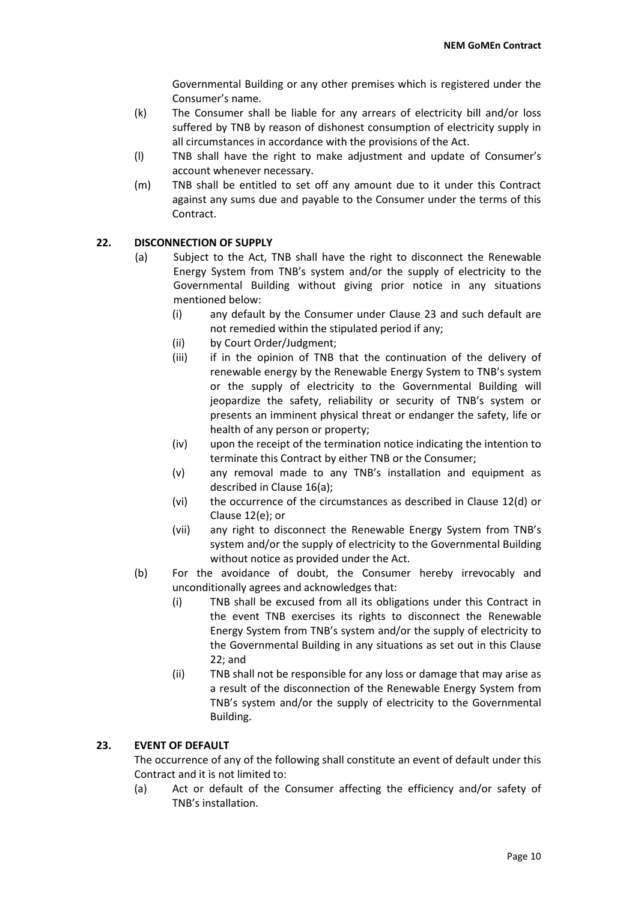Governmental Building or any other premises which is registered under the Consumer's name.

- (k) The Consumer shall be liable for any arrears of electricity bill and/or loss suffered by TNB by reason of dishonest consumption of electricity supply in all circumstances in accordance with the provisions of the Act.
- (l) TNB shall have the right to make adjustment and update of Consumer's account whenever necessary.
- (m) TNB shall be entitled to set off any amount due to it under this Contract against any sums due and payable to the Consumer under the terms of this Contract.

# **22. DISCONNECTION OF SUPPLY**

- (a) Subject to the Act, TNB shall have the right to disconnect the Renewable Energy System from TNB's system and/or the supply of electricity to the Governmental Building without giving prior notice in any situations mentioned below:
	- (i) any default by the Consumer under Clause 23 and such default are not remedied within the stipulated period if any;
	- (ii) by Court Order/Judgment;
	- (iii) if in the opinion of TNB that the continuation of the delivery of renewable energy by the Renewable Energy System to TNB's system or the supply of electricity to the Governmental Building will jeopardize the safety, reliability or security of TNB's system or presents an imminent physical threat or endanger the safety, life or health of any person or property;
	- (iv) upon the receipt of the termination notice indicating the intention to terminate this Contract by either TNB or the Consumer;
	- (v) any removal made to any TNB's installation and equipment as described in Clause 16(a);
	- (vi) the occurrence of the circumstances as described in Clause 12(d) or Clause 12(e); or
	- (vii) any right to disconnect the Renewable Energy System from TNB's system and/or the supply of electricity to the Governmental Building without notice as provided under the Act.
- (b) For the avoidance of doubt, the Consumer hereby irrevocably and unconditionally agrees and acknowledges that:
	- (i) TNB shall be excused from all its obligations under this Contract in the event TNB exercises its rights to disconnect the Renewable Energy System from TNB's system and/or the supply of electricity to the Governmental Building in any situations as set out in this Clause 22; and
	- (ii) TNB shall not be responsible for any loss or damage that may arise as a result of the disconnection of the Renewable Energy System from TNB's system and/or the supply of electricity to the Governmental Building.

# **23. EVENT OF DEFAULT**

The occurrence of any of the following shall constitute an event of default under this Contract and it is not limited to:

(a) Act or default of the Consumer affecting the efficiency and/or safety of TNB's installation.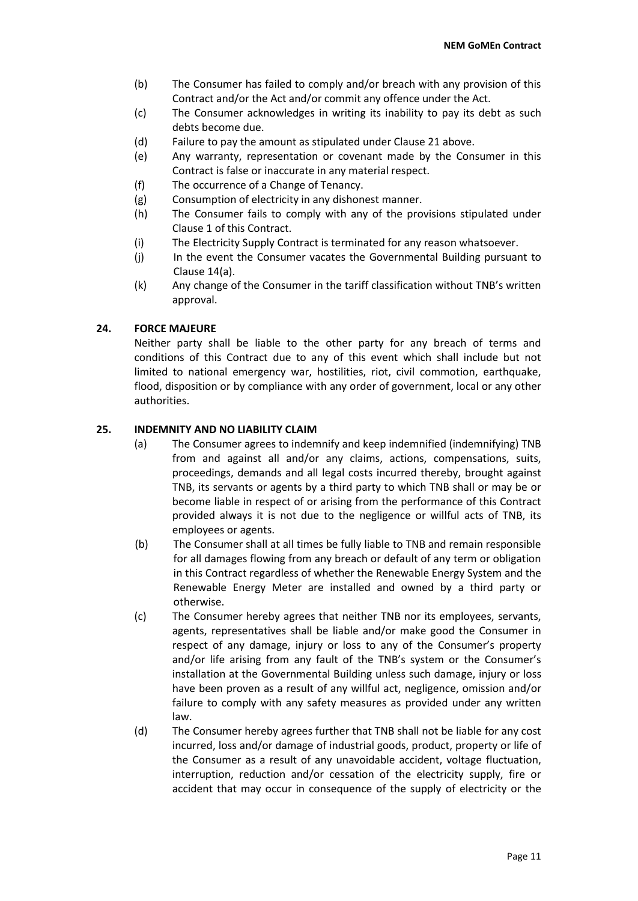- (b) The Consumer has failed to comply and/or breach with any provision of this Contract and/or the Act and/or commit any offence under the Act.
- (c) The Consumer acknowledges in writing its inability to pay its debt as such debts become due.
- (d) Failure to pay the amount as stipulated under Clause 21 above.
- (e) Any warranty, representation or covenant made by the Consumer in this Contract is false or inaccurate in any material respect.
- (f) The occurrence of a Change of Tenancy.
- (g) Consumption of electricity in any dishonest manner.
- (h) The Consumer fails to comply with any of the provisions stipulated under Clause 1 of this Contract.
- (i) The Electricity Supply Contract is terminated for any reason whatsoever.
- (j) In the event the Consumer vacates the Governmental Building pursuant to Clause 14(a).
- (k) Any change of the Consumer in the tariff classification without TNB's written approval.

# **24. FORCE MAJEURE**

Neither party shall be liable to the other party for any breach of terms and conditions of this Contract due to any of this event which shall include but not limited to national emergency war, hostilities, riot, civil commotion, earthquake, flood, disposition or by compliance with any order of government, local or any other authorities.

# **25. INDEMNITY AND NO LIABILITY CLAIM**

- (a) The Consumer agrees to indemnify and keep indemnified (indemnifying) TNB from and against all and/or any claims, actions, compensations, suits, proceedings, demands and all legal costs incurred thereby, brought against TNB, its servants or agents by a third party to which TNB shall or may be or become liable in respect of or arising from the performance of this Contract provided always it is not due to the negligence or willful acts of TNB, its employees or agents.
- (b) The Consumer shall at all times be fully liable to TNB and remain responsible for all damages flowing from any breach or default of any term or obligation in this Contract regardless of whether the Renewable Energy System and the Renewable Energy Meter are installed and owned by a third party or otherwise.
- (c) The Consumer hereby agrees that neither TNB nor its employees, servants, agents, representatives shall be liable and/or make good the Consumer in respect of any damage, injury or loss to any of the Consumer's property and/or life arising from any fault of the TNB's system or the Consumer's installation at the Governmental Building unless such damage, injury or loss have been proven as a result of any willful act, negligence, omission and/or failure to comply with any safety measures as provided under any written law.
- (d) The Consumer hereby agrees further that TNB shall not be liable for any cost incurred, loss and/or damage of industrial goods, product, property or life of the Consumer as a result of any unavoidable accident, voltage fluctuation, interruption, reduction and/or cessation of the electricity supply, fire or accident that may occur in consequence of the supply of electricity or the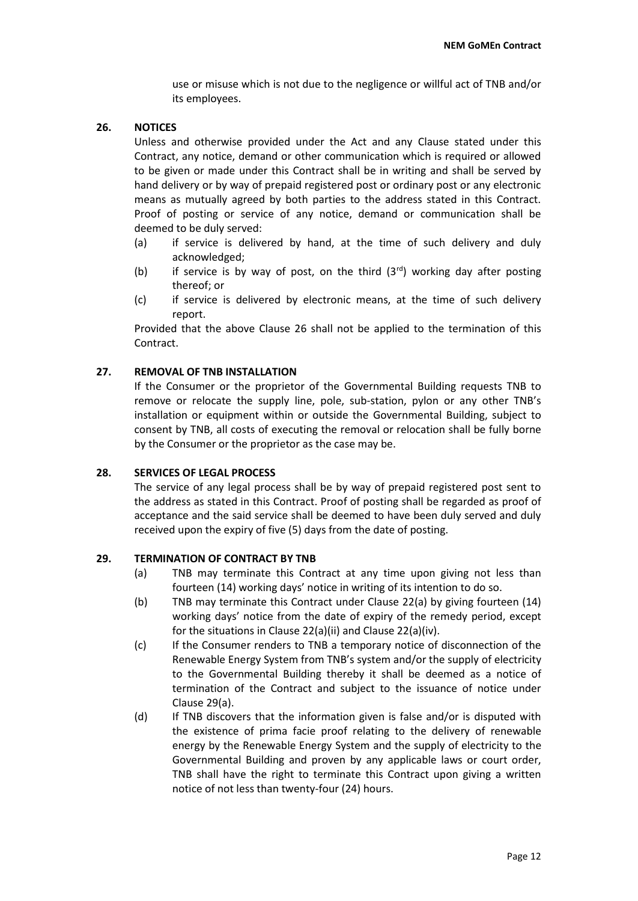use or misuse which is not due to the negligence or willful act of TNB and/or its employees.

# **26. NOTICES**

Unless and otherwise provided under the Act and any Clause stated under this Contract, any notice, demand or other communication which is required or allowed to be given or made under this Contract shall be in writing and shall be served by hand delivery or by way of prepaid registered post or ordinary post or any electronic means as mutually agreed by both parties to the address stated in this Contract. Proof of posting or service of any notice, demand or communication shall be deemed to be duly served:

- (a) if service is delivered by hand, at the time of such delivery and duly acknowledged;
- (b) if service is by way of post, on the third  $(3<sup>rd</sup>)$  working day after posting thereof; or
- (c) if service is delivered by electronic means, at the time of such delivery report.

Provided that the above Clause 26 shall not be applied to the termination of this Contract.

# **27. REMOVAL OF TNB INSTALLATION**

If the Consumer or the proprietor of the Governmental Building requests TNB to remove or relocate the supply line, pole, sub-station, pylon or any other TNB's installation or equipment within or outside the Governmental Building, subject to consent by TNB, all costs of executing the removal or relocation shall be fully borne by the Consumer or the proprietor as the case may be.

# **28. SERVICES OF LEGAL PROCESS**

The service of any legal process shall be by way of prepaid registered post sent to the address as stated in this Contract. Proof of posting shall be regarded as proof of acceptance and the said service shall be deemed to have been duly served and duly received upon the expiry of five (5) days from the date of posting.

# **29. TERMINATION OF CONTRACT BY TNB**

- (a) TNB may terminate this Contract at any time upon giving not less than fourteen (14) working days' notice in writing of its intention to do so.
- (b) TNB may terminate this Contract under Clause 22(a) by giving fourteen (14) working days' notice from the date of expiry of the remedy period, except for the situations in Clause 22(a)(ii) and Clause 22(a)(iv).
- (c) If the Consumer renders to TNB a temporary notice of disconnection of the Renewable Energy System from TNB's system and/or the supply of electricity to the Governmental Building thereby it shall be deemed as a notice of termination of the Contract and subject to the issuance of notice under Clause 29(a).
- (d) If TNB discovers that the information given is false and/or is disputed with the existence of prima facie proof relating to the delivery of renewable energy by the Renewable Energy System and the supply of electricity to the Governmental Building and proven by any applicable laws or court order, TNB shall have the right to terminate this Contract upon giving a written notice of not less than twenty-four (24) hours.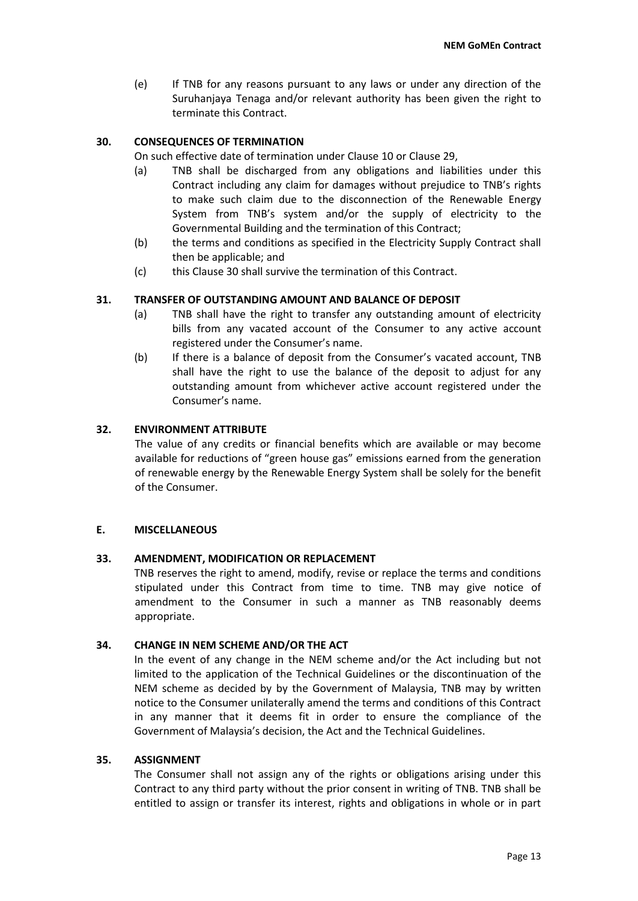(e) If TNB for any reasons pursuant to any laws or under any direction of the Suruhanjaya Tenaga and/or relevant authority has been given the right to terminate this Contract.

# **30. CONSEQUENCES OF TERMINATION**

On such effective date of termination under Clause 10 or Clause 29,

- (a) TNB shall be discharged from any obligations and liabilities under this Contract including any claim for damages without prejudice to TNB's rights to make such claim due to the disconnection of the Renewable Energy System from TNB's system and/or the supply of electricity to the Governmental Building and the termination of this Contract;
- (b) the terms and conditions as specified in the Electricity Supply Contract shall then be applicable; and
- (c) this Clause 30 shall survive the termination of this Contract.

# **31. TRANSFER OF OUTSTANDING AMOUNT AND BALANCE OF DEPOSIT**

- (a) TNB shall have the right to transfer any outstanding amount of electricity bills from any vacated account of the Consumer to any active account registered under the Consumer's name.
- (b) If there is a balance of deposit from the Consumer's vacated account, TNB shall have the right to use the balance of the deposit to adjust for any outstanding amount from whichever active account registered under the Consumer's name.

# **32. ENVIRONMENT ATTRIBUTE**

The value of any credits or financial benefits which are available or may become available for reductions of "green house gas" emissions earned from the generation of renewable energy by the Renewable Energy System shall be solely for the benefit of the Consumer.

# **E. MISCELLANEOUS**

# **33. AMENDMENT, MODIFICATION OR REPLACEMENT**

TNB reserves the right to amend, modify, revise or replace the terms and conditions stipulated under this Contract from time to time. TNB may give notice of amendment to the Consumer in such a manner as TNB reasonably deems appropriate.

#### **34. CHANGE IN NEM SCHEME AND/OR THE ACT**

In the event of any change in the NEM scheme and/or the Act including but not limited to the application of the Technical Guidelines or the discontinuation of the NEM scheme as decided by by the Government of Malaysia, TNB may by written notice to the Consumer unilaterally amend the terms and conditions of this Contract in any manner that it deems fit in order to ensure the compliance of the Government of Malaysia's decision, the Act and the Technical Guidelines.

#### **35. ASSIGNMENT**

The Consumer shall not assign any of the rights or obligations arising under this Contract to any third party without the prior consent in writing of TNB. TNB shall be entitled to assign or transfer its interest, rights and obligations in whole or in part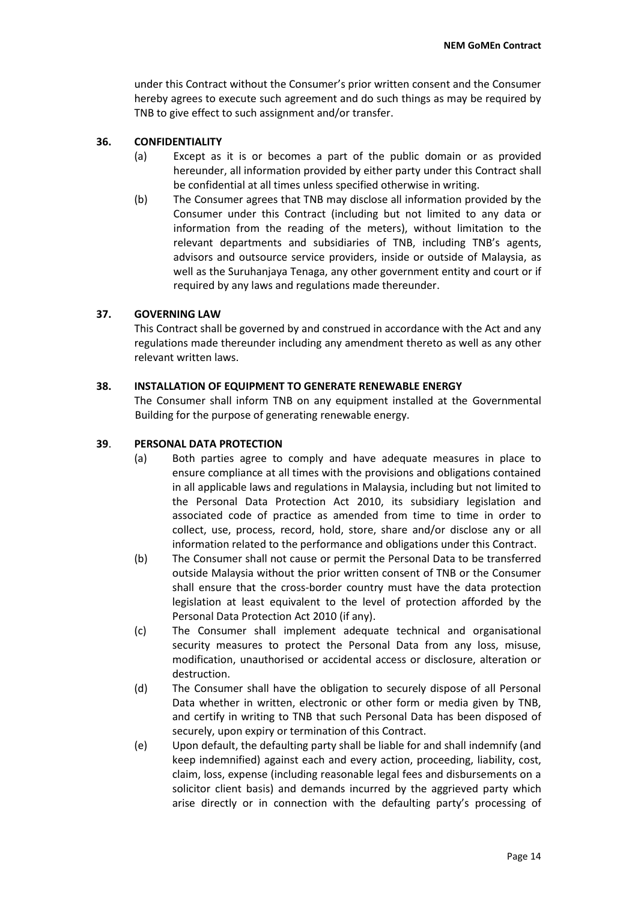under this Contract without the Consumer's prior written consent and the Consumer hereby agrees to execute such agreement and do such things as may be required by TNB to give effect to such assignment and/or transfer.

# **36. CONFIDENTIALITY**

- (a) Except as it is or becomes a part of the public domain or as provided hereunder, all information provided by either party under this Contract shall be confidential at all times unless specified otherwise in writing.
- (b) The Consumer agrees that TNB may disclose all information provided by the Consumer under this Contract (including but not limited to any data or information from the reading of the meters), without limitation to the relevant departments and subsidiaries of TNB, including TNB's agents, advisors and outsource service providers, inside or outside of Malaysia, as well as the Suruhanjaya Tenaga, any other government entity and court or if required by any laws and regulations made thereunder.

# **37. GOVERNING LAW**

This Contract shall be governed by and construed in accordance with the Act and any regulations made thereunder including any amendment thereto as well as any other relevant written laws.

# **38. INSTALLATION OF EQUIPMENT TO GENERATE RENEWABLE ENERGY**

The Consumer shall inform TNB on any equipment installed at the Governmental Building for the purpose of generating renewable energy.

# **39**. **PERSONAL DATA PROTECTION**

- (a) Both parties agree to comply and have adequate measures in place to ensure compliance at all times with the provisions and obligations contained in all applicable laws and regulations in Malaysia, including but not limited to the Personal Data Protection Act 2010, its subsidiary legislation and associated code of practice as amended from time to time in order to collect, use, process, record, hold, store, share and/or disclose any or all information related to the performance and obligations under this Contract.
- (b) The Consumer shall not cause or permit the Personal Data to be transferred outside Malaysia without the prior written consent of TNB or the Consumer shall ensure that the cross-border country must have the data protection legislation at least equivalent to the level of protection afforded by the Personal Data Protection Act 2010 (if any).
- (c) The Consumer shall implement adequate technical and organisational security measures to protect the Personal Data from any loss, misuse, modification, unauthorised or accidental access or disclosure, alteration or destruction.
- (d) The Consumer shall have the obligation to securely dispose of all Personal Data whether in written, electronic or other form or media given by TNB, and certify in writing to TNB that such Personal Data has been disposed of securely, upon expiry or termination of this Contract.
- (e) Upon default, the defaulting party shall be liable for and shall indemnify (and keep indemnified) against each and every action, proceeding, liability, cost, claim, loss, expense (including reasonable legal fees and disbursements on a solicitor client basis) and demands incurred by the aggrieved party which arise directly or in connection with the defaulting party's processing of